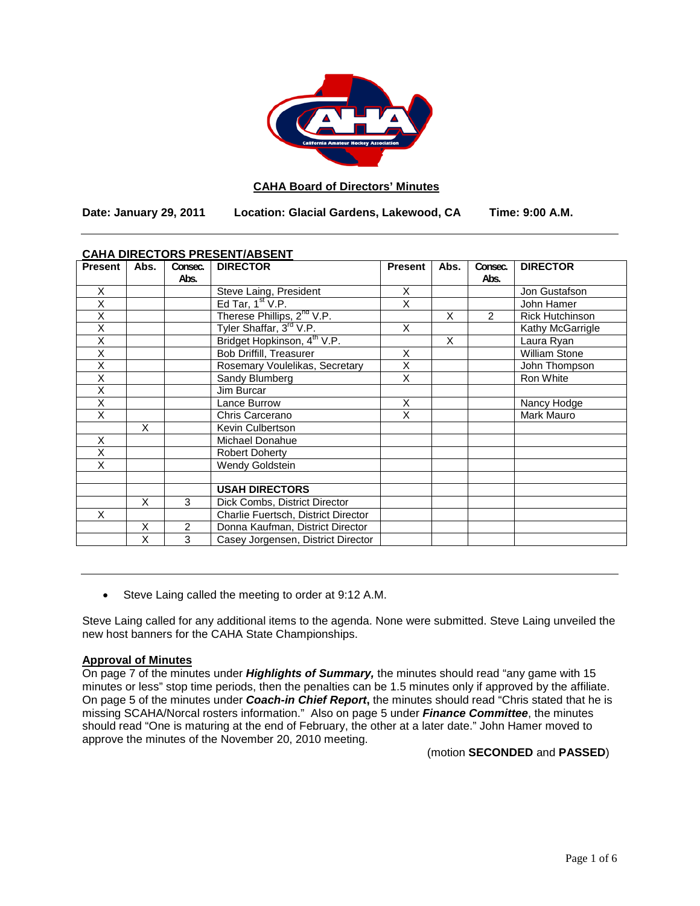

# **CAHA Board of Directors' Minutes**

**Date: January 29, 2011 Location: Glacial Gardens, Lakewood, CA Time: 9:00 A.M.**

| <u>CAHA DIRECTORS PRESENT/ABSENT</u> |      |         |                                         |                |      |                |                        |
|--------------------------------------|------|---------|-----------------------------------------|----------------|------|----------------|------------------------|
| <b>Present</b>                       | Abs. | Consec. | <b>DIRECTOR</b>                         | <b>Present</b> | Abs. | Consec.        | <b>DIRECTOR</b>        |
|                                      |      | Abs.    |                                         |                |      | Abs.           |                        |
| X                                    |      |         | Steve Laing, President                  | X              |      |                | Jon Gustafson          |
| Χ                                    |      |         | Ed Tar, $1st V.P.$                      | X              |      |                | John Hamer             |
| X                                    |      |         | Therese Phillips, 2 <sup>nd</sup> V.P.  |                | X    | $\overline{2}$ | <b>Rick Hutchinson</b> |
| X                                    |      |         | Tyler Shaffar, 3rd V.P.                 | X              |      |                | Kathy McGarrigle       |
| X                                    |      |         | Bridget Hopkinson, 4 <sup>th</sup> V.P. |                | X    |                | Laura Ryan             |
| X                                    |      |         | <b>Bob Driffill, Treasurer</b>          | X              |      |                | William Stone          |
| Χ                                    |      |         | Rosemary Voulelikas, Secretary          | $\bar{x}$      |      |                | John Thompson          |
| X                                    |      |         | Sandy Blumberg                          | X              |      |                | Ron White              |
| Χ                                    |      |         | Jim Burcar                              |                |      |                |                        |
| X                                    |      |         | Lance Burrow                            | X              |      |                | Nancy Hodge            |
| X                                    |      |         | Chris Carcerano                         | X              |      |                | Mark Mauro             |
|                                      | X    |         | Kevin Culbertson                        |                |      |                |                        |
| X                                    |      |         | Michael Donahue                         |                |      |                |                        |
| X                                    |      |         | <b>Robert Doherty</b>                   |                |      |                |                        |
| X                                    |      |         | Wendy Goldstein                         |                |      |                |                        |
|                                      |      |         |                                         |                |      |                |                        |
|                                      |      |         | <b>USAH DIRECTORS</b>                   |                |      |                |                        |
|                                      | X    | 3       | Dick Combs, District Director           |                |      |                |                        |
| X                                    |      |         | Charlie Fuertsch, District Director     |                |      |                |                        |
|                                      | X    | 2       | Donna Kaufman, District Director        |                |      |                |                        |
|                                      | X    | 3       | Casey Jorgensen, District Director      |                |      |                |                        |

# **CAHA DIRECTORS PRESENT/ABSENT**

• Steve Laing called the meeting to order at 9:12 A.M.

Steve Laing called for any additional items to the agenda. None were submitted. Steve Laing unveiled the new host banners for the CAHA State Championships.

### **Approval of Minutes**

On page 7 of the minutes under *Highlights of Summary,* the minutes should read "any game with 15 minutes or less" stop time periods, then the penalties can be 1.5 minutes only if approved by the affiliate. On page 5 of the minutes under *Coach-in Chief Report***,** the minutes should read "Chris stated that he is missing SCAHA/Norcal rosters information." Also on page 5 under *Finance Committee*, the minutes should read "One is maturing at the end of February, the other at a later date." John Hamer moved to approve the minutes of the November 20, 2010 meeting.

(motion **SECONDED** and **PASSED**)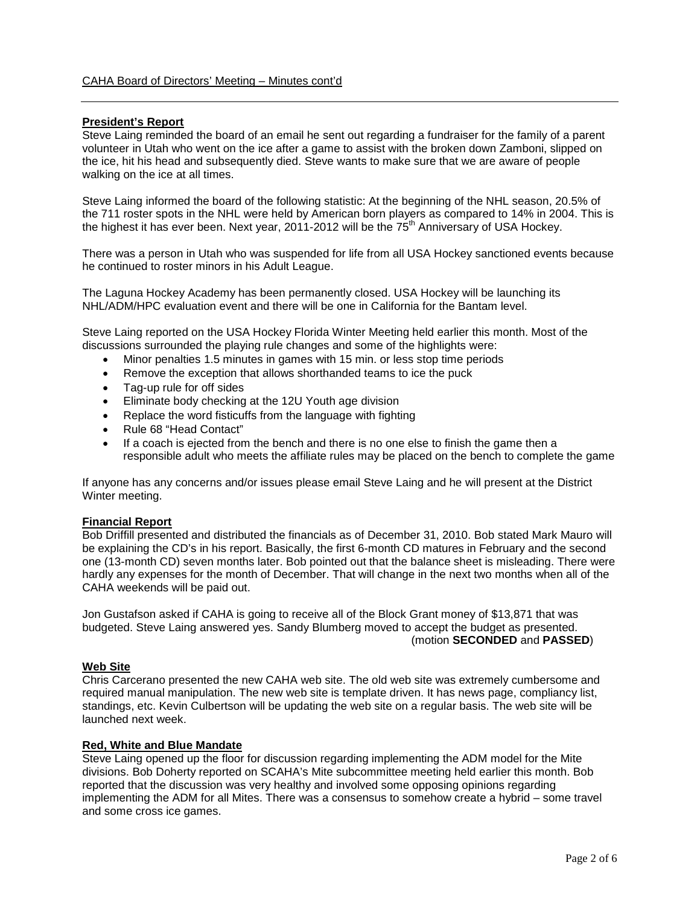### **President's Report**

Steve Laing reminded the board of an email he sent out regarding a fundraiser for the family of a parent volunteer in Utah who went on the ice after a game to assist with the broken down Zamboni, slipped on the ice, hit his head and subsequently died. Steve wants to make sure that we are aware of people walking on the ice at all times.

Steve Laing informed the board of the following statistic: At the beginning of the NHL season, 20.5% of the 711 roster spots in the NHL were held by American born players as compared to 14% in 2004. This is the highest it has ever been. Next year, 2011-2012 will be the  $75<sup>th</sup>$  Anniversary of USA Hockey.

There was a person in Utah who was suspended for life from all USA Hockey sanctioned events because he continued to roster minors in his Adult League.

The Laguna Hockey Academy has been permanently closed. USA Hockey will be launching its NHL/ADM/HPC evaluation event and there will be one in California for the Bantam level.

Steve Laing reported on the USA Hockey Florida Winter Meeting held earlier this month. Most of the discussions surrounded the playing rule changes and some of the highlights were:

- Minor penalties 1.5 minutes in games with 15 min. or less stop time periods
- Remove the exception that allows shorthanded teams to ice the puck
- Tag-up rule for off sides
- Eliminate body checking at the 12U Youth age division
- Replace the word fisticuffs from the language with fighting
- Rule 68 "Head Contact"
- If a coach is ejected from the bench and there is no one else to finish the game then a responsible adult who meets the affiliate rules may be placed on the bench to complete the game

If anyone has any concerns and/or issues please email Steve Laing and he will present at the District Winter meeting.

### **Financial Report**

Bob Driffill presented and distributed the financials as of December 31, 2010. Bob stated Mark Mauro will be explaining the CD's in his report. Basically, the first 6-month CD matures in February and the second one (13-month CD) seven months later. Bob pointed out that the balance sheet is misleading. There were hardly any expenses for the month of December. That will change in the next two months when all of the CAHA weekends will be paid out.

Jon Gustafson asked if CAHA is going to receive all of the Block Grant money of \$13,871 that was budgeted. Steve Laing answered yes. Sandy Blumberg moved to accept the budget as presented. (motion **SECONDED** and **PASSED**)

# **Web Site**

Chris Carcerano presented the new CAHA web site. The old web site was extremely cumbersome and required manual manipulation. The new web site is template driven. It has news page, compliancy list, standings, etc. Kevin Culbertson will be updating the web site on a regular basis. The web site will be launched next week.

#### **Red, White and Blue Mandate**

Steve Laing opened up the floor for discussion regarding implementing the ADM model for the Mite divisions. Bob Doherty reported on SCAHA's Mite subcommittee meeting held earlier this month. Bob reported that the discussion was very healthy and involved some opposing opinions regarding implementing the ADM for all Mites. There was a consensus to somehow create a hybrid – some travel and some cross ice games.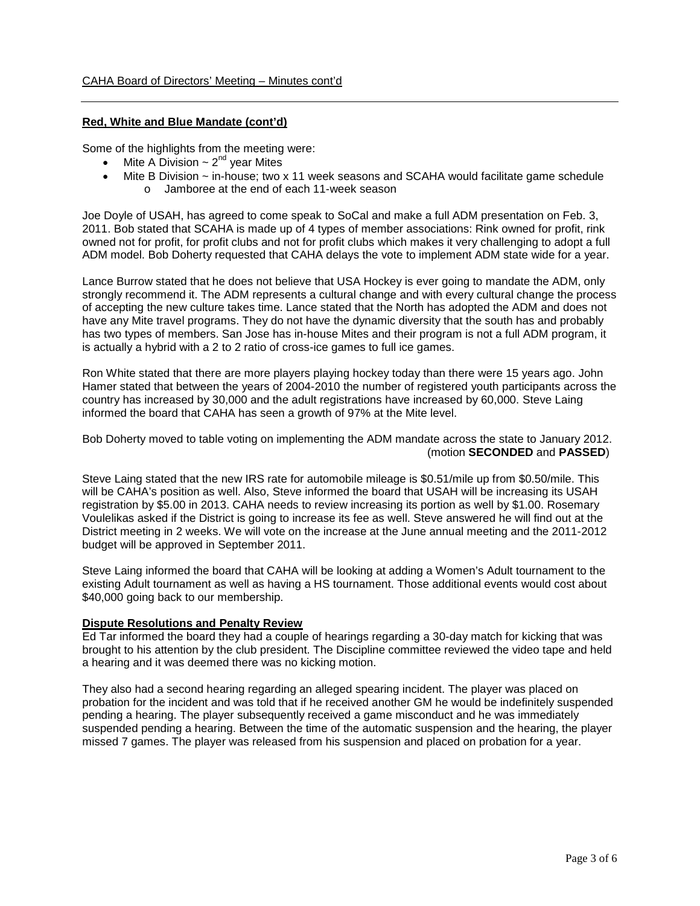### **Red, White and Blue Mandate (cont'd)**

Some of the highlights from the meeting were:

- Mite A Division  $\sim 2^{nd}$  year Mites
- Mite B Division ~ in-house; two x 11 week seasons and SCAHA would facilitate game schedule o Jamboree at the end of each 11-week season

Joe Doyle of USAH, has agreed to come speak to SoCal and make a full ADM presentation on Feb. 3, 2011. Bob stated that SCAHA is made up of 4 types of member associations: Rink owned for profit, rink owned not for profit, for profit clubs and not for profit clubs which makes it very challenging to adopt a full ADM model. Bob Doherty requested that CAHA delays the vote to implement ADM state wide for a year.

Lance Burrow stated that he does not believe that USA Hockey is ever going to mandate the ADM, only strongly recommend it. The ADM represents a cultural change and with every cultural change the process of accepting the new culture takes time. Lance stated that the North has adopted the ADM and does not have any Mite travel programs. They do not have the dynamic diversity that the south has and probably has two types of members. San Jose has in-house Mites and their program is not a full ADM program, it is actually a hybrid with a 2 to 2 ratio of cross-ice games to full ice games.

Ron White stated that there are more players playing hockey today than there were 15 years ago. John Hamer stated that between the years of 2004-2010 the number of registered youth participants across the country has increased by 30,000 and the adult registrations have increased by 60,000. Steve Laing informed the board that CAHA has seen a growth of 97% at the Mite level.

Bob Doherty moved to table voting on implementing the ADM mandate across the state to January 2012. (motion **SECONDED** and **PASSED**)

Steve Laing stated that the new IRS rate for automobile mileage is \$0.51/mile up from \$0.50/mile. This will be CAHA's position as well. Also, Steve informed the board that USAH will be increasing its USAH registration by \$5.00 in 2013. CAHA needs to review increasing its portion as well by \$1.00. Rosemary Voulelikas asked if the District is going to increase its fee as well. Steve answered he will find out at the District meeting in 2 weeks. We will vote on the increase at the June annual meeting and the 2011-2012 budget will be approved in September 2011.

Steve Laing informed the board that CAHA will be looking at adding a Women's Adult tournament to the existing Adult tournament as well as having a HS tournament. Those additional events would cost about \$40,000 going back to our membership.

### **Dispute Resolutions and Penalty Review**

Ed Tar informed the board they had a couple of hearings regarding a 30-day match for kicking that was brought to his attention by the club president. The Discipline committee reviewed the video tape and held a hearing and it was deemed there was no kicking motion.

They also had a second hearing regarding an alleged spearing incident. The player was placed on probation for the incident and was told that if he received another GM he would be indefinitely suspended pending a hearing. The player subsequently received a game misconduct and he was immediately suspended pending a hearing. Between the time of the automatic suspension and the hearing, the player missed 7 games. The player was released from his suspension and placed on probation for a year.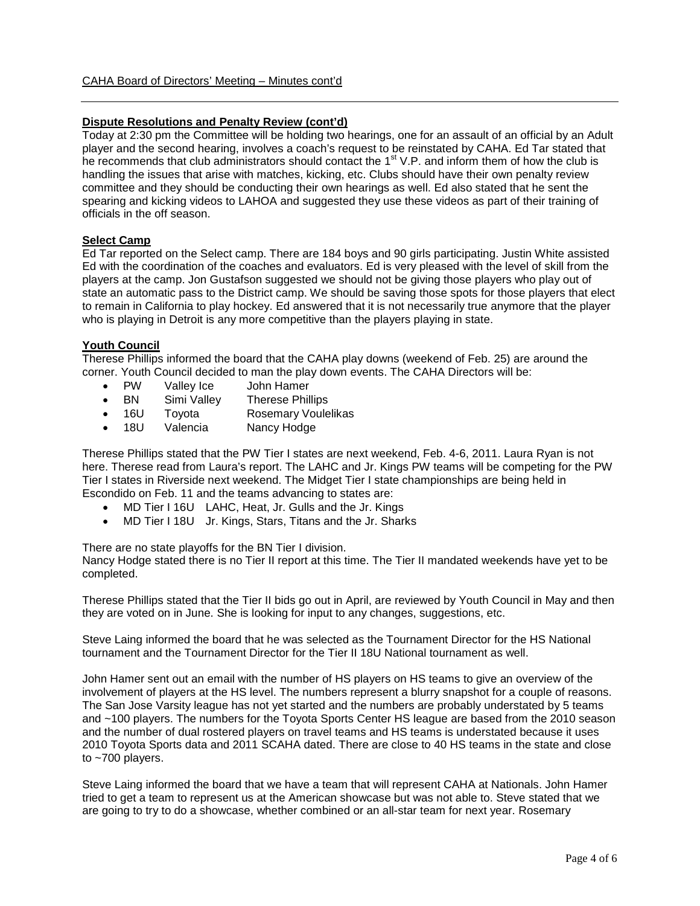# **Dispute Resolutions and Penalty Review (cont'd)**

Today at 2:30 pm the Committee will be holding two hearings, one for an assault of an official by an Adult player and the second hearing, involves a coach's request to be reinstated by CAHA. Ed Tar stated that he recommends that club administrators should contact the 1<sup>st</sup> V.P. and inform them of how the club is handling the issues that arise with matches, kicking, etc. Clubs should have their own penalty review committee and they should be conducting their own hearings as well. Ed also stated that he sent the spearing and kicking videos to LAHOA and suggested they use these videos as part of their training of officials in the off season.

### **Select Camp**

Ed Tar reported on the Select camp. There are 184 boys and 90 girls participating. Justin White assisted Ed with the coordination of the coaches and evaluators. Ed is very pleased with the level of skill from the players at the camp. Jon Gustafson suggested we should not be giving those players who play out of state an automatic pass to the District camp. We should be saving those spots for those players that elect to remain in California to play hockey. Ed answered that it is not necessarily true anymore that the player who is playing in Detroit is any more competitive than the players playing in state.

### **Youth Council**

Therese Phillips informed the board that the CAHA play downs (weekend of Feb. 25) are around the corner. Youth Council decided to man the play down events. The CAHA Directors will be:<br>• PW Vallev Ice John Hamer

- PW Valley Ice John Hamer
- BN Simi Valley Therese Phillips
- 16U Toyota Rosemary Voulelikas
- 18U Valencia Nancy Hodge

Therese Phillips stated that the PW Tier I states are next weekend, Feb. 4-6, 2011. Laura Ryan is not here. Therese read from Laura's report. The LAHC and Jr. Kings PW teams will be competing for the PW Tier I states in Riverside next weekend. The Midget Tier I state championships are being held in Escondido on Feb. 11 and the teams advancing to states are:

- MD Tier I 16U LAHC, Heat, Jr. Gulls and the Jr. Kings
- MD Tier I 18U Jr. Kings, Stars, Titans and the Jr. Sharks

There are no state playoffs for the BN Tier I division.

Nancy Hodge stated there is no Tier II report at this time. The Tier II mandated weekends have yet to be completed.

Therese Phillips stated that the Tier II bids go out in April, are reviewed by Youth Council in May and then they are voted on in June. She is looking for input to any changes, suggestions, etc.

Steve Laing informed the board that he was selected as the Tournament Director for the HS National tournament and the Tournament Director for the Tier II 18U National tournament as well.

John Hamer sent out an email with the number of HS players on HS teams to give an overview of the involvement of players at the HS level. The numbers represent a blurry snapshot for a couple of reasons. The San Jose Varsity league has not yet started and the numbers are probably understated by 5 teams and ~100 players. The numbers for the Toyota Sports Center HS league are based from the 2010 season and the number of dual rostered players on travel teams and HS teams is understated because it uses 2010 Toyota Sports data and 2011 SCAHA dated. There are close to 40 HS teams in the state and close to ~700 players.

Steve Laing informed the board that we have a team that will represent CAHA at Nationals. John Hamer tried to get a team to represent us at the American showcase but was not able to. Steve stated that we are going to try to do a showcase, whether combined or an all-star team for next year. Rosemary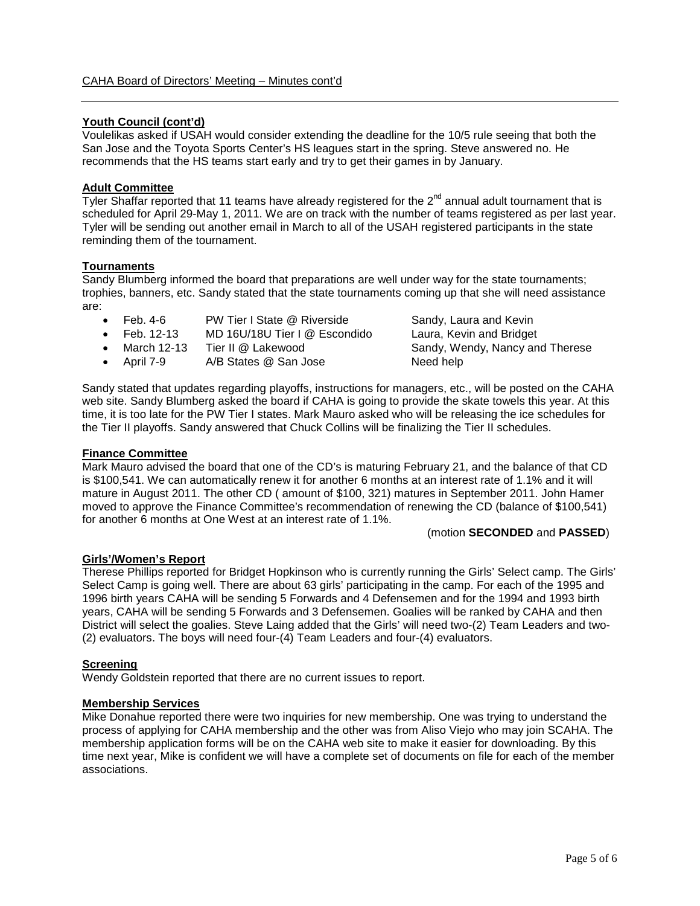### **Youth Council (cont'd)**

Voulelikas asked if USAH would consider extending the deadline for the 10/5 rule seeing that both the San Jose and the Toyota Sports Center's HS leagues start in the spring. Steve answered no. He recommends that the HS teams start early and try to get their games in by January.

# **Adult Committee**

Tyler Shaffar reported that 11 teams have already registered for the  $2^{nd}$  annual adult tournament that is scheduled for April 29-May 1, 2011. We are on track with the number of teams registered as per last year. Tyler will be sending out another email in March to all of the USAH registered participants in the state reminding them of the tournament.

### **Tournaments**

Sandy Blumberg informed the board that preparations are well under way for the state tournaments; trophies, banners, etc. Sandy stated that the state tournaments coming up that she will need assistance are:

- Feb. 4-6 PW Tier I State @ Riverside Sandy, Laura and Kevin
- Feb. 12-13 MD 16U/18U Tier I @ Escondido Laura, Kevin and Bridget
- March 12-13 Tier II @ Lakewood Sandy, Wendy, Nancy and Therese
- April 7-9 A/B States @ San Jose Need help

Sandy stated that updates regarding playoffs, instructions for managers, etc., will be posted on the CAHA web site. Sandy Blumberg asked the board if CAHA is going to provide the skate towels this year. At this time, it is too late for the PW Tier I states. Mark Mauro asked who will be releasing the ice schedules for the Tier II playoffs. Sandy answered that Chuck Collins will be finalizing the Tier II schedules.

#### **Finance Committee**

Mark Mauro advised the board that one of the CD's is maturing February 21, and the balance of that CD is \$100,541. We can automatically renew it for another 6 months at an interest rate of 1.1% and it will mature in August 2011. The other CD ( amount of \$100, 321) matures in September 2011. John Hamer moved to approve the Finance Committee's recommendation of renewing the CD (balance of \$100,541) for another 6 months at One West at an interest rate of 1.1%.

#### (motion **SECONDED** and **PASSED**)

### **Girls'/Women's Report**

Therese Phillips reported for Bridget Hopkinson who is currently running the Girls' Select camp. The Girls' Select Camp is going well. There are about 63 girls' participating in the camp. For each of the 1995 and 1996 birth years CAHA will be sending 5 Forwards and 4 Defensemen and for the 1994 and 1993 birth years, CAHA will be sending 5 Forwards and 3 Defensemen. Goalies will be ranked by CAHA and then District will select the goalies. Steve Laing added that the Girls' will need two-(2) Team Leaders and two- (2) evaluators. The boys will need four-(4) Team Leaders and four-(4) evaluators.

#### **Screening**

Wendy Goldstein reported that there are no current issues to report.

### **Membership Services**

Mike Donahue reported there were two inquiries for new membership. One was trying to understand the process of applying for CAHA membership and the other was from Aliso Viejo who may join SCAHA. The membership application forms will be on the CAHA web site to make it easier for downloading. By this time next year, Mike is confident we will have a complete set of documents on file for each of the member associations.